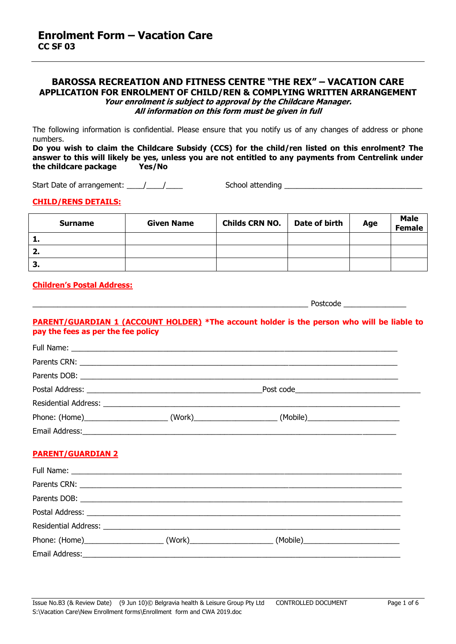# **BAROSSA RECREATION AND FITNESS CENTRE "THE REX" – VACATION CARE APPLICATION FOR ENROLMENT OF CHILD/REN & COMPLYING WRITTEN ARRANGEMENT Your enrolment is subject to approval by the Childcare Manager. All information on this form must be given in full**

The following information is confidential. Please ensure that you notify us of any changes of address or phone numbers.

**Do you wish to claim the Childcare Subsidy (CCS) for the child/ren listed on this enrolment? The answer to this will likely be yes, unless you are not entitled to any payments from Centrelink under the childcare package Yes/No**

Start Date of arrangement: \_\_\_\_/\_\_\_\_/\_\_\_\_ School attending \_\_\_\_\_\_\_\_\_\_\_\_\_\_\_\_\_\_\_\_\_\_\_\_\_\_\_\_\_\_\_\_\_

## **CHILD/RENS DETAILS:**

| <b>Surname</b> | <b>Given Name</b> | <b>Childs CRN NO.</b> | Date of birth | Age | <b>Male</b><br><b>Female</b> |
|----------------|-------------------|-----------------------|---------------|-----|------------------------------|
| л.             |                   |                       |               |     |                              |
| 2.             |                   |                       |               |     |                              |
| -3.            |                   |                       |               |     |                              |

## **Children's Postal Address:**

\_\_\_\_\_\_\_\_\_\_\_\_\_\_\_\_\_\_\_\_\_\_\_\_\_\_\_\_\_\_\_\_\_\_\_\_\_\_\_\_\_\_\_\_\_\_\_\_\_\_\_\_\_\_\_\_\_\_\_\_\_\_\_\_\_\_ Postcode \_\_\_\_\_\_\_\_\_\_\_\_\_\_\_

# **PARENT/GUARDIAN 1 (ACCOUNT HOLDER) \*The account holder is the person who will be liable to pay the fees as per the fee policy**

|  | (Mobile) |  |
|--|----------|--|
|  |          |  |

# **PARENT/GUARDIAN 2**

| Phone: (Home)______________________(Work)____________________(Mobile)_______________________________ |  |
|------------------------------------------------------------------------------------------------------|--|
|                                                                                                      |  |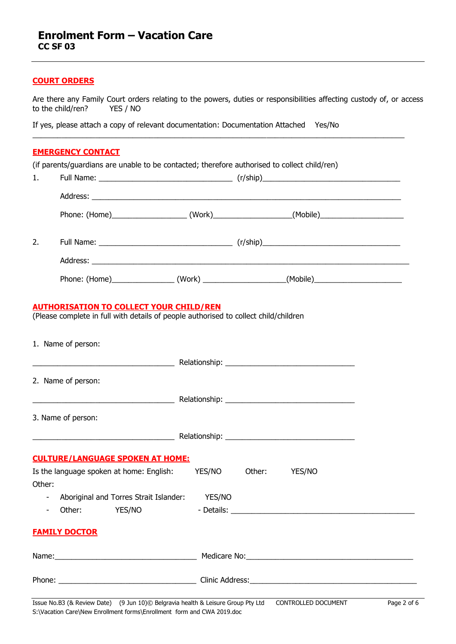# **COURT ORDERS**

Are there any Family Court orders relating to the powers, duties or responsibilities affecting custody of, or access to the child/ren? YES / NO to the child/ren?

 $\_$  , and the set of the set of the set of the set of the set of the set of the set of the set of the set of the set of the set of the set of the set of the set of the set of the set of the set of the set of the set of th

If yes, please attach a copy of relevant documentation: Documentation Attached Yes/No

# **EMERGENCY CONTACT**

(if parents/guardians are unable to be contacted; therefore authorised to collect child/ren)

| 1.                       |                      |                                                                                                                                        |               |        |        |  |
|--------------------------|----------------------|----------------------------------------------------------------------------------------------------------------------------------------|---------------|--------|--------|--|
|                          |                      |                                                                                                                                        |               |        |        |  |
|                          |                      | Phone: (Home)_____________________(Work)__________________(Mobile)_______________                                                      |               |        |        |  |
| 2.                       |                      |                                                                                                                                        |               |        |        |  |
|                          |                      |                                                                                                                                        |               |        |        |  |
|                          |                      | Phone: (Home)___________________(Work) ____________________(Mobile)______________                                                      |               |        |        |  |
|                          |                      | <b>AUTHORISATION TO COLLECT YOUR CHILD/REN</b><br>(Please complete in full with details of people authorised to collect child/children |               |        |        |  |
|                          | 1. Name of person:   |                                                                                                                                        |               |        |        |  |
|                          |                      |                                                                                                                                        |               |        |        |  |
|                          | 2. Name of person:   |                                                                                                                                        |               |        |        |  |
|                          |                      |                                                                                                                                        |               |        |        |  |
|                          | 3. Name of person:   |                                                                                                                                        |               |        |        |  |
|                          |                      |                                                                                                                                        |               |        |        |  |
|                          |                      | <b>CULTURE/LANGUAGE SPOKEN AT HOME:</b>                                                                                                |               |        |        |  |
| Other:                   |                      | Is the language spoken at home: English:                                                                                               | <b>YES/NO</b> | Other: | YES/NO |  |
| $\overline{\phantom{a}}$ |                      | Aboriginal and Torres Strait Islander: YES/NO                                                                                          |               |        |        |  |
|                          |                      | Other: YES/NO                                                                                                                          | - Details:    |        |        |  |
|                          | <b>FAMILY DOCTOR</b> |                                                                                                                                        |               |        |        |  |
|                          |                      |                                                                                                                                        |               |        |        |  |
|                          |                      |                                                                                                                                        |               |        |        |  |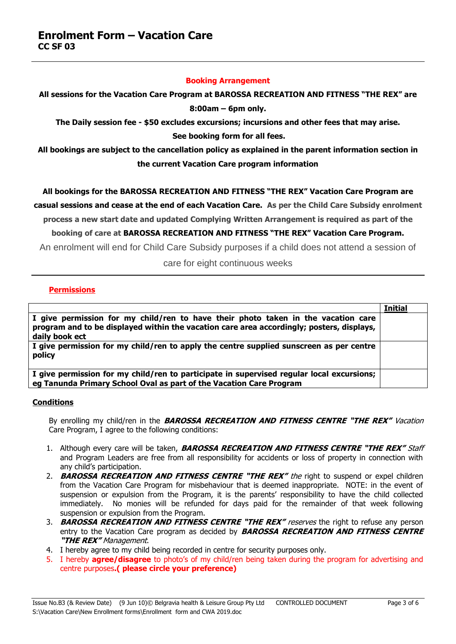#### **Booking Arrangement**

# **All sessions for the Vacation Care Program at BAROSSA RECREATION AND FITNESS "THE REX" are 8:00am – 6pm only.**

**The Daily session fee - \$50 excludes excursions; incursions and other fees that may arise. See booking form for all fees.** 

**All bookings are subject to the cancellation policy as explained in the parent information section in the current Vacation Care program information**

# **All bookings for the BAROSSA RECREATION AND FITNESS "THE REX" Vacation Care Program are**

**casual sessions and cease at the end of each Vacation Care. As per the Child Care Subsidy enrolment process a new start date and updated Complying Written Arrangement is required as part of the** 

**booking of care at BAROSSA RECREATION AND FITNESS "THE REX" Vacation Care Program.**

An enrolment will end for Child Care Subsidy purposes if a child does not attend a session of

care for eight continuous weeks

# **Permissions**

|                                                                                                                                                                                                  | <b>Initial</b> |
|--------------------------------------------------------------------------------------------------------------------------------------------------------------------------------------------------|----------------|
| I give permission for my child/ren to have their photo taken in the vacation care<br>program and to be displayed within the vacation care area accordingly; posters, displays,<br>daily book ect |                |
| I give permission for my child/ren to apply the centre supplied sunscreen as per centre<br>policy                                                                                                |                |
| I give permission for my child/ren to participate in supervised regular local excursions;<br>eg Tanunda Primary School Oval as part of the Vacation Care Program                                 |                |

# **Conditions**

By enrolling my child/ren in the **BAROSSA RECREATION AND FITNESS CENTRE "THE REX"** Vacation Care Program, I agree to the following conditions:

- 1. Although every care will be taken, **BAROSSA RECREATION AND FITNESS CENTRE "THE REX"** Staff and Program Leaders are free from all responsibility for accidents or loss of property in connection with any child's participation.
- 2. **BAROSSA RECREATION AND FITNESS CENTRE "THE REX"** the right to suspend or expel children from the Vacation Care Program for misbehaviour that is deemed inappropriate. NOTE: in the event of suspension or expulsion from the Program, it is the parents' responsibility to have the child collected immediately. No monies will be refunded for days paid for the remainder of that week following suspension or expulsion from the Program.
- 3. **BAROSSA RECREATION AND FITNESS CENTRE "THE REX"** reserves the right to refuse any person entry to the Vacation Care program as decided by **BAROSSA RECREATION AND FITNESS CENTRE "THE REX"** Management.
- 4. I hereby agree to my child being recorded in centre for security purposes only.
- 5. I hereby **agree/disagree** to photo's of my child/ren being taken during the program for advertising and centre purposes**.( please circle your preference)**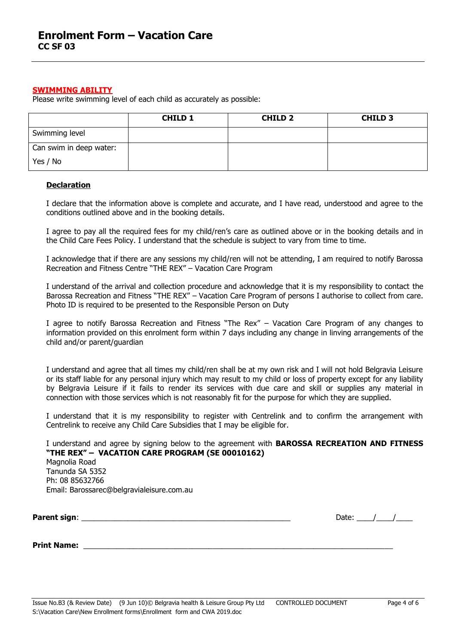#### **SWIMMING ABILITY**

Please write swimming level of each child as accurately as possible:

|                         | <b>CHILD 1</b> | <b>CHILD 2</b> | <b>CHILD 3</b> |
|-------------------------|----------------|----------------|----------------|
| Swimming level          |                |                |                |
| Can swim in deep water: |                |                |                |
| Yes / No                |                |                |                |

#### **Declaration**

I declare that the information above is complete and accurate, and I have read, understood and agree to the conditions outlined above and in the booking details.

I agree to pay all the required fees for my child/ren's care as outlined above or in the booking details and in the Child Care Fees Policy. I understand that the schedule is subject to vary from time to time.

I acknowledge that if there are any sessions my child/ren will not be attending, I am required to notify Barossa Recreation and Fitness Centre "THE REX" – Vacation Care Program

I understand of the arrival and collection procedure and acknowledge that it is my responsibility to contact the Barossa Recreation and Fitness "THE REX" – Vacation Care Program of persons I authorise to collect from care. Photo ID is required to be presented to the Responsible Person on Duty

I agree to notify Barossa Recreation and Fitness "The Rex" – Vacation Care Program of any changes to information provided on this enrolment form within 7 days including any change in linving arrangements of the child and/or parent/guardian

I understand and agree that all times my child/ren shall be at my own risk and I will not hold Belgravia Leisure or its staff liable for any personal injury which may result to my child or loss of property except for any liability by Belgravia Leisure if it fails to render its services with due care and skill or supplies any material in connection with those services which is not reasonably fit for the purpose for which they are supplied.

I understand that it is my responsibility to register with Centrelink and to confirm the arrangement with Centrelink to receive any Child Care Subsidies that I may be eligible for.

I understand and agree by signing below to the agreement with **BAROSSA RECREATION AND FITNESS "THE REX" – VACATION CARE PROGRAM (SE 00010162)** Magnolia Road Tanunda SA 5352 Ph: 08 85632766 Email: Barossarec@belgravialeisure.com.au

**Parent sign**: \_\_\_\_\_\_\_\_\_\_\_\_\_\_\_\_\_\_\_\_\_\_\_\_\_\_\_\_\_\_\_\_\_\_\_\_\_\_\_\_\_\_\_\_\_\_\_\_\_\_ Date: \_\_\_\_/\_\_\_\_/\_\_\_\_

**Print Name:**  $\blacksquare$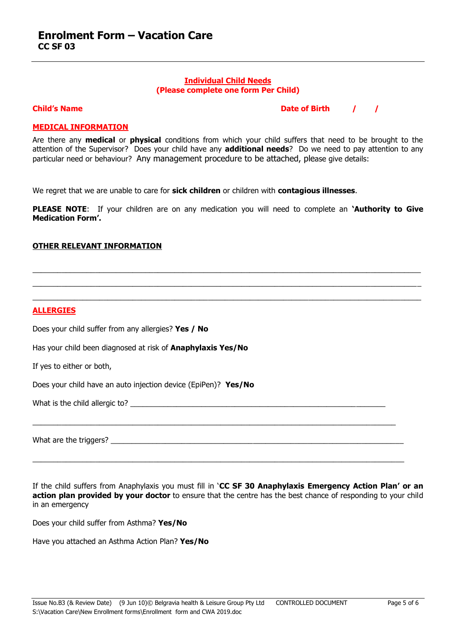#### **Individual Child Needs (Please complete one form Per Child)**

**Child's Name Date of Birth 1997** 

# **MEDICAL INFORMATION**

Are there any **medical** or **physical** conditions from which your child suffers that need to be brought to the attention of the Supervisor? Does your child have any **additional needs**? Do we need to pay attention to any particular need or behaviour? Any management procedure to be attached, please give details:

We regret that we are unable to care for **sick children** or children with **contagious illnesses**.

**PLEASE NOTE**: If your children are on any medication you will need to complete an **'Authority to Give Medication Form'.**

\_\_\_\_\_\_\_\_\_\_\_\_\_\_\_\_\_\_\_\_\_\_\_\_\_\_\_\_\_\_\_\_\_\_\_\_\_\_\_\_\_\_\_\_\_\_\_\_\_\_\_\_\_\_\_\_\_\_\_\_\_\_\_\_\_\_\_\_\_\_\_\_\_\_\_\_\_\_\_\_\_\_\_\_\_\_\_\_\_\_\_\_\_  $\_$  , and the set of the set of the set of the set of the set of the set of the set of the set of the set of the set of the set of the set of the set of the set of the set of the set of the set of the set of the set of th  $\_$  ,  $\_$  ,  $\_$  ,  $\_$  ,  $\_$  ,  $\_$  ,  $\_$  ,  $\_$  ,  $\_$  ,  $\_$  ,  $\_$  ,  $\_$  ,  $\_$  ,  $\_$  ,  $\_$  ,  $\_$  ,  $\_$  ,  $\_$  ,  $\_$  ,  $\_$  ,  $\_$  ,  $\_$  ,  $\_$  ,  $\_$  ,  $\_$  ,  $\_$  ,  $\_$  ,  $\_$  ,  $\_$  ,  $\_$  ,  $\_$  ,  $\_$  ,  $\_$  ,  $\_$  ,  $\_$  ,  $\_$  ,  $\_$  ,

#### **OTHER RELEVANT INFORMATION**

Does your child suffer from any allergies? **Yes / No**

Has your child been diagnosed at risk of **Anaphylaxis Yes/No** 

If yes to either or both,

Does your child have an auto injection device (EpiPen)? **Yes/No**

What is the child allergic to?

What are the triggers?

If the child suffers from Anaphylaxis you must fill in '**CC SF 30 Anaphylaxis Emergency Action Plan' or an action plan provided by your doctor** to ensure that the centre has the best chance of responding to your child in an emergency

 $\_$  . The contribution of the contribution of the contribution of the contribution of the contribution of the contribution of the contribution of the contribution of the contribution of the contribution of the contributio

 $\_$  . The contribution of the contribution of the contribution of the contribution of the contribution of the contribution of the contribution of the contribution of the contribution of the contribution of the contributio

Does your child suffer from Asthma? **Yes/No**

Have you attached an Asthma Action Plan? **Yes/No**